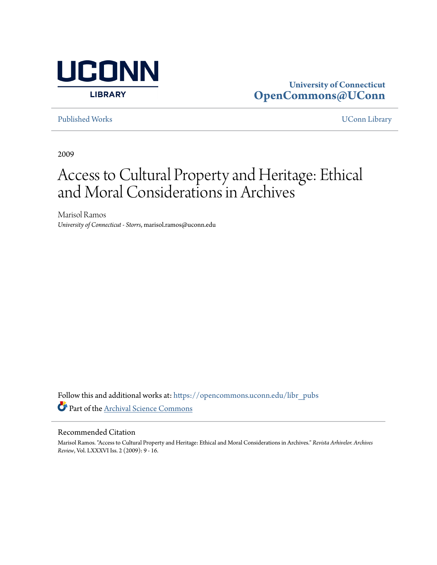

# **University of Connecticut [OpenCommons@UConn](https://opencommons.uconn.edu?utm_source=opencommons.uconn.edu%2Flibr_pubs%2F58&utm_medium=PDF&utm_campaign=PDFCoverPages)**

[Published Works](https://opencommons.uconn.edu/libr_pubs?utm_source=opencommons.uconn.edu%2Flibr_pubs%2F58&utm_medium=PDF&utm_campaign=PDFCoverPages) [UConn Library](https://opencommons.uconn.edu/libr?utm_source=opencommons.uconn.edu%2Flibr_pubs%2F58&utm_medium=PDF&utm_campaign=PDFCoverPages)

2009

# Access to Cultural Property and Heritage: Ethical and Moral Considerations in Archives

Marisol Ramos *University of Connecticut - Storrs*, marisol.ramos@uconn.edu

Follow this and additional works at: [https://opencommons.uconn.edu/libr\\_pubs](https://opencommons.uconn.edu/libr_pubs?utm_source=opencommons.uconn.edu%2Flibr_pubs%2F58&utm_medium=PDF&utm_campaign=PDFCoverPages) Part of the [Archival Science Commons](http://network.bepress.com/hgg/discipline/1021?utm_source=opencommons.uconn.edu%2Flibr_pubs%2F58&utm_medium=PDF&utm_campaign=PDFCoverPages)

#### Recommended Citation

Marisol Ramos. "Access to Cultural Property and Heritage: Ethical and Moral Considerations in Archives." *Revista Arhivelor. Archives Review*, Vol. LXXXVI Iss. 2 (2009): 9 - 16.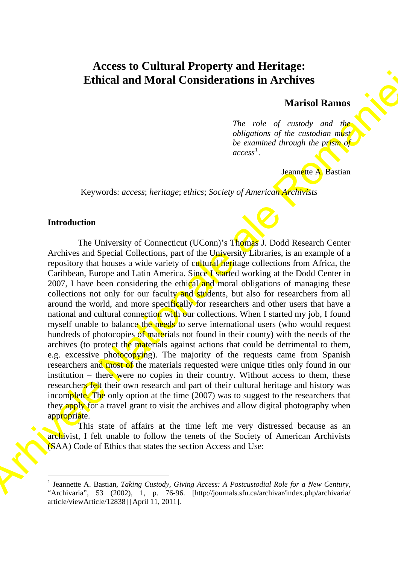# **Access to Cultural Property and Heritage: Ethical and Moral Considerations in Archives**

### **Marisol Ramos**

*The role of custody and the obligations of the custodian must be examined through the prism of access*<sup>1</sup> .

#### Jeannette A. Bastian

Keywords: *access*; *heritage*; *ethics*; *Society of American Archivists*

#### **Introduction**

<u> 1989 - Johann Barn, mars ar breist fan de Amerikaansk kommunent fan de Amerikaanske kommunent fan de Amerikaa</u>

**Ethical and Moral Considerations in Archives**<br>
Marised Ramos<br>
The role of custod in our properties of the consideration of the consideration of the consideration of the consideration of the consideration of the considera The University of Connecticut (UConn)'s Thomas J. Dodd Research Center Archives and Special Collections, part of the University Libraries, is an example of a repository that houses a wide variety of cultural heritage collections from Africa, the Caribbean, Europe and Latin America. Since I started working at the Dodd Center in 2007. I have been considering the ethical and moral obligations of managing these collections not only for our faculty and students, but also for researchers from all around the world, and more specifically for researchers and other users that have a national and cultural connection with our collections. When I started my job, I found myself unable to balance the needs to serve international users (who would request hundreds of photocopies of materials not found in their county) with the needs of the archives (to protect the materials against actions that could be detrimental to them, e.g. excessive photocopying). The majority of the requests came from Spanish researchers and most of the materials requested were unique titles only found in our institution – there were no copies in their country. Without access to them, these researchers felt their own research and part of their cultural heritage and history was incomplete. The only option at the time (2007) was to suggest to the researchers that they apply for a travel grant to visit the archives and allow digital photography when appropriate.

This state of affairs at the time left me very distressed because as an archivist, I felt unable to follow the tenets of the Society of American Archivists (SAA) Code of Ethics that states the section Access and Use:

<span id="page-1-0"></span><sup>&</sup>lt;sup>1</sup> Jeannette A. Bastian, *Taking Custody, Giving Access: A Postcustodial Role for a New Century,* "Archivaria", 53 (2002), 1, p. 76-96. [http://journals.sfu.ca/archivar/index.php/archivaria/ article/viewArticle/12838] [April 11, 2011].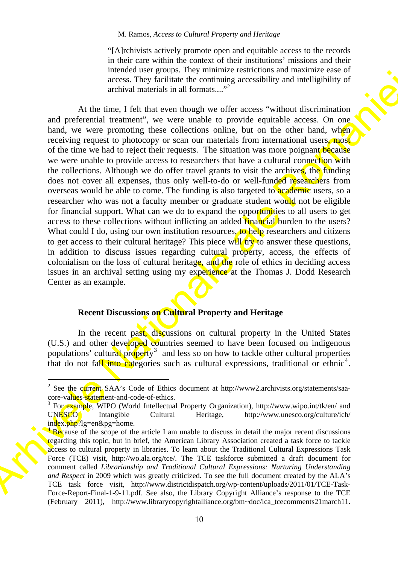"[A]rchivists actively promote open and equitable access to the records in their care within the context of their institutions' missions and their intended user groups. They minimize restrictions and maximize ease of access. They facilitate the continuing accessibility and intelligibility of archival materials in all formats...."<sup>2</sup>

sec[t](#page-2-1)ion to the model of the model of the model of the model of the model of the model of the model of the model of the model of the model of the model of the model of the model of the model of the model of the model of th At the time, I felt that even though we offer access "without discrimination and preferential treatment", we were unable to provide equitable access. On one hand, we were promoting these collections online, but on the other hand, when receiving request to photocopy or scan our materials from international users, most of the time we had to reject their requests. The situation was more poignant because we were unable to provide access to researchers that have a cultural connection with the collections. Although we do offer travel grants to visit the archives, the funding does not cover all expenses, thus only well-to-do or well-funded researchers from overseas would be able to come. The funding is also targeted to academic users, so a researcher who was not a faculty member or graduate student would not be eligible for financial support. What can we do to expand the opportunities to all users to get access to these collections without inflicting an added **financial** burden to the users? What could I do, using our own institution resources, to help researchers and citizens to get access to their cultural heritage? This piece will  $\langle$  try to answer these questions, in addition to discuss issues regarding cultural property, access, the effects of colonialism on the loss of cultural heritage, and the role of ethics in deciding access issues in an archival setting using my experience at the Thomas J. Dodd Research Center as an example.

#### **Recent Discussions on Cultural Property and Heritage**

In the recent past, discussions on cultural property in the United States (U.S.) and other developed countries seemed to have been focused on indigenous populations' cultural property<sup>3</sup> and less so on how to tackle other cultural properties that do not fall into categories such as cultural expressions, traditional or ethnic<sup>4</sup>.

<span id="page-2-0"></span><sup>&</sup>lt;sup>2</sup> See the current SAA's Code of Ethics document at http://www2.archivists.org/statements/saacore-values-statement-and-code-of-ethics.

<span id="page-2-1"></span><sup>&</sup>lt;sup>3</sup> For example, WIPO (World Intellectual Property Organization), http://www.wipo.int/tk/en/ and UNESCO Intangible Cultural Heritage, http://www.unesco.org/culture/ich/ index.php?lg=en&pg=home.

<span id="page-2-2"></span><sup>&</sup>lt;sup>4</sup> Because of the scope of the article I am unable to discuss in detail the major recent discussions regarding this topic, but in brief, the American Library Association created a task force to tackle access to cultural property in libraries. To learn about the Traditional Cultural Expressions Task Force (TCE) visit, http://wo.ala.org/tce/. The TCE taskforce submitted a draft document for comment called *Librarianship and Traditional Cultural Expressions: Nurturing Understanding and Respect* in 2009 which was greatly criticized. To see the full document created by the ALA's TCE task force visit, http://www.districtdispatch.org/wp-content/uploads/2011/01/TCE-Task-Force-Report-Final-1-9-11.pdf. See also, the Library Copyright Alliance's response to the TCE (February 2011), http://www.librarycopyrightalliance.org/bm~doc/lca\_tcecomments21march11.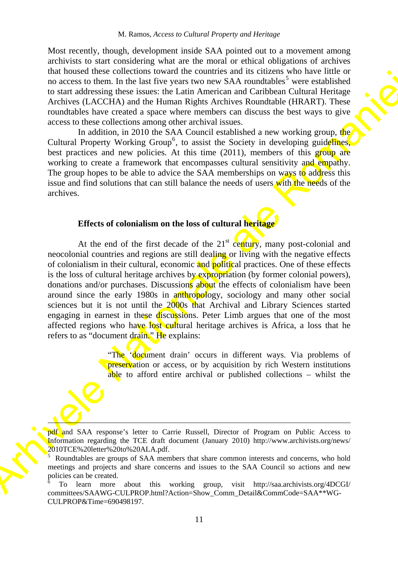Most recently, though, development inside SAA pointed out to a movement among archivists to start considering what are the moral or ethical obligations of archives that housed these collections toward the countries and its citizens who have little or no access to them. In the last five years two new SAA roundtables<sup>5</sup> were established to start addressing these issues: the Latin American and Caribbean Cultural Heritage Archives (LACCHA) and the Human Rights Archives Roundtable (HRART). These roundtables have created a space where members can discuss the best ways to give access to these collections among other archival issues.

In addition, in 2010 the SAA Council established a new working group, the Cultural Property Working Group<sup>6</sup>, to assist the Society in developing guidelines, best practices and new policies. At this time (2011), members of this group are working to create a framework that encompasses cultural sensitivity and empathy. The group hopes to be able to advice the SAA memberships on ways to address this issue and find solutions that can still balance the needs of users with the needs of the archives.

#### **Effects of colonialism on the loss of cultural heritage**

In the case of the the continue is the control of the control of the control of the control of the basis of the basis of the control of the control of the control of the control of the control of the control of the contro At the end of the first decade of the  $21<sup>st</sup>$  century, many post-colonial and neocolonial countries and regions are still dealing or living with the negative effects of colonialism in their cultural, economic and political practices. One of these effects is the loss of cultural heritage archives by expropriation (by former colonial powers). donations and/or purchases. Discussions about the effects of colonialism have been around since the early 1980s in anthropology, sociology and many other social sciences but it is not until the 2000s that Archival and Library Sciences started engaging in earnest in these discussions. Peter Limb argues that one of the most affected regions who have lost cultural heritage archives is Africa, a loss that he refers to as "document drain." He explains:

"The 'document drain' occurs in different ways. Via problems of preservation or access, or by acquisition by rich Western institutions able to afford entire archival or published collections – whilst the

pdf and SAA response's letter to Carrie Russell, Director of Program on Public Access to Information regarding the TCE draft document (January 2010) http://www.archivists.org/news/ 2010TCE%20letter%20to%20ALA.pdf.

 $\overline{\mathbf{v}}$ 

<span id="page-3-1"></span>6 To learn more about this working group, visit http://saa.archivists.org/4DCGI/ committees/SAAWG-CULPROP.html?Action=Show\_Comm\_Detail&CommCode=SAA\*\*WG-CULPROP&Time=690498197.

<span id="page-3-0"></span><sup>5</sup> Roundtables are groups of SAA members that share common interests and concerns, who hold meetings and projects and share concerns and issues to the SAA Council so actions and new policies can be created.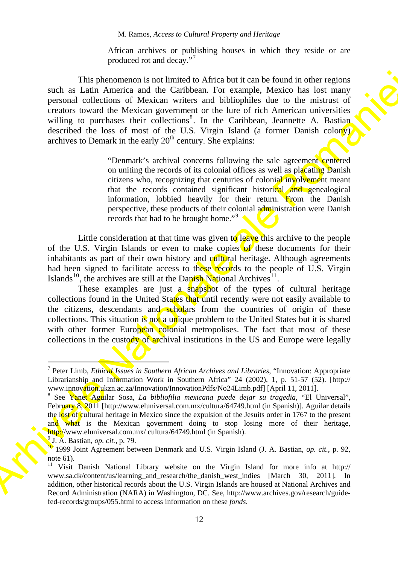African archives or publishing houses in which they reside or are produced rot and decay."[7](#page-4-0)

This photonomous for three celebratics and the Caribbean bit is can be found in other regions<br>and the Caribbean Context and bibliophics due to denoting percorol of Meister and bibliophics due to the mission of the energie This phenomenon is not limited to Africa but it can be found in other regions such as Latin America and the Caribbean. For example, Mexico has lost many personal collections of Mexican writers and bibliophiles due to the mistrust of creators toward the Mexican government or the lure of rich American universities willing to purchases their collections<sup>8</sup>. In the Caribbean, Jeannette A. Bastian described the loss of most of the U.S. Virgin Island (a former Danish colony) archives to Demark in the early  $20<sup>th</sup>$  century. She explains:

"Denmark's archival concerns following the sale agreement centered on uniting the records of its colonial offices as well as placating Danish citizens who, recognizing that centuries of colonial involvement meant that the records contained significant historical and genealogical information, lobbied heavily for their return. From the Danish perspective, these products of their colonial administration were Danish records that had to be brought home."<sup>9</sup>

Little consideration at that time was given to leave this archive to the people of the U.S. Virgin Islands or even to make copies of these documents for their inhabitants as part of their own history and cultural heritage. Although agreements had been signed to facilitate access to these records to the people of U.S. Virgin Islands<sup>10</sup>, the archives are still at the Danish National Archives<sup>11</sup>.

These examples are just a snapshot of the types of cultural heritage collections found in the United States that until recently were not easily available to the citizens, descendants and scholars from the countries of origin of these collections. This situation is not a unique problem to the United States but it is shared with other former European colonial metropolises. The fact that most of these collections in the custody of archival institutions in the US and Europe were legally

 $\overline{\phantom{a}}$  and  $\overline{\phantom{a}}$  and  $\overline{\phantom{a}}$  and  $\overline{\phantom{a}}$  and  $\overline{\phantom{a}}$  and  $\overline{\phantom{a}}$  and  $\overline{\phantom{a}}$  and  $\overline{\phantom{a}}$  and  $\overline{\phantom{a}}$  and  $\overline{\phantom{a}}$  and  $\overline{\phantom{a}}$  and  $\overline{\phantom{a}}$  and  $\overline{\phantom{a}}$  and  $\overline{\phantom{a}}$  a

<span id="page-4-0"></span><sup>7</sup> Peter Limb, *Ethical Issues in Southern African Archives and Libraries*, "Innovation: Appropriate Librarianship and Information Work in Southern Africa" 24 (2002), 1, p. 51-57 (52). [http:// www.innovation.ukzn.ac.za/Innovation/InnovationPdfs/No24Limb.pdf [April 11, 2011].

<span id="page-4-1"></span>See Yanet Aguilar Sosa, *La bibliofilia mexicana puede dejar su tragedia*, "El Universal", February 8, 2011 [http://www.eluniversal.com.mx/cultura/64749.html (in Spanish)]. Aguilar details the lost of cultural heritage in Mexico since the expulsion of the Jesuits order in 1767 to the present and what is the Mexican government doing to stop losing more of their heritage, http://www.eluniversal.com.mx/ cultura/64749.html (in Spanish). <sup>9</sup> J. A. Bastian, *op. cit.*, p. 79.

<span id="page-4-3"></span><span id="page-4-2"></span>J. A. Bastian, *op. cit.*, p. 79. 10 1999 Joint Agreement between Denmark and U.S. Virgin Island (J. A. Bastian, *op. cit.*, p. 92, note 61).

<span id="page-4-4"></span><sup>11</sup> Visit Danish National Library website on the Virgin Island for more info at http:// www.sa.dk/content/us/learning\_and\_research/the\_danish\_west\_indies [March 30, 2011]. In addition, other historical records about the U.S. Virgin Islands are housed at National Archives and Record Administration (NARA) in Washington, DC. See, http://www.archives.gov/research/guidefed-records/groups/055.html to access information on these *fonds*.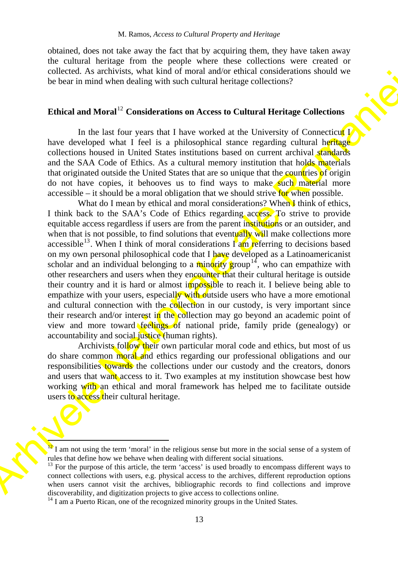obtained, does not take away the fact that by acquiring them, they have taken away the cultural heritage from the people where these collections were created or collected. As archivists, what kind of moral and/or ethical considerations should we be bear in mind when dealing with such cultural heritage collections?

## **Ethical and Moral**<sup>12</sup> **Considerations on Access to Cultural Heritage Collections**

In the last four years that I have worked at the University of Connecticut I have developed what I feel is a philosophical stance regarding cultural heritage collections housed in United States institutions based on current archival standards and the SAA Code of Ethics. As a cultural memory institution that holds materials that originated outside the United States that are so unique that the countries of origin do not have copies, it behooves us to find ways to make such material more accessible – it should be a moral obligation that we should strive for when possible.

EVINCHIEF AS a method as the state with the most state with the best function and control of the state model of the state in the state of the state of the state of the state of the state of the state of the state of the s What do I mean by ethical and moral considerations? When I think of ethics, I think back to the SAA's Code of Ethics regarding access. To strive to provide equitable access regardless if users are from the parent institutions or an outsider, and when that is not possible, to find solutions that eventually will make collections more accessible<sup>13</sup>. When I think of moral considerations  $\Gamma$  am referring to decisions based on my own personal philosophical code that I have developed as a Latinoamericanist scholar and an individual belonging to a minority group<sup>14</sup>, who can empathize with other researchers and users when they encounter that their cultural heritage is outside their country and it is hard or almost impossible to reach it. I believe being able to empathize with your users, especially with outside users who have a more emotional and cultural connection with the collection in our custody, is very important since their research and/or interest in the collection may go beyond an academic point of view and more toward feelings of national pride, family pride (genealogy) or accountability and social justice (human rights).

Archivists follow their own particular moral code and ethics, but most of us do share common moral and ethics regarding our professional obligations and our responsibilities **towards** the collections under our custody and the creators, donors and users that want access to it. Two examples at my institution showcase best how working with an ethical and moral framework has helped me to facilitate outside users to access their cultural heritage.

<u> De Santa Company de la propincia de la propincia de la propincia de la propincia de la propincia de la propincia de la propincia de la propincia de la propincia de la propincia de la propincia de la propincia de la propi</u>

<span id="page-5-0"></span> $12$  I am not using the term 'moral' in the religious sense but more in the social sense of a system of rules that define how we behave when dealing with different social situations.<br><sup>13</sup> For the purpose of this article, the term 'access' is used broadly to encompass different ways to

<span id="page-5-1"></span>connect collections with users, e.g. physical access to the archives, different reproduction options when users cannot visit the archives, bibliographic records to find collections and improve discoverability, and digitization projects to give access to collections online. 14 I am a Puerto Rican, one of the recognized minority groups in the United States.

<span id="page-5-2"></span>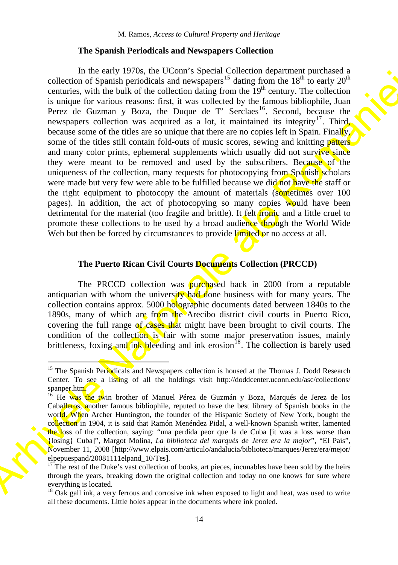#### **The Spanish Periodicals and Newspapers Collection**

collection into the reading the V-A-Min Collection (Space and the space of the reading terms in the reading of the space of the reading terms in the reading terms in the reading of the reading terms in the reading terms i In the early 1970s, the UConn's Special Collection department purchased a collection of Spanish periodicals and newspapers<sup>15</sup> dating from the  $18<sup>th</sup>$  to early  $20<sup>th</sup>$ centuries, with the bulk of the collection dating from the  $19<sup>th</sup>$  century. The collection is unique for various reasons: first, it was collected by the famous bibliophile, Juan Perez de Guzman y Boza, the Duque de T' Serclaes<sup>16</sup>. Second, because the newspapers collection was acquired as a lot, it maintained its integrity<sup>17</sup>. Third, because some of the titles are so unique that there are no copies left in Spain. Finally, some of the titles still contain fold-outs of music scores, sewing and knitting **patters** and many color prints, ephemeral supplements which usually did not survive since they were meant to be removed and used by the subscribers. Because of the uniqueness of the collection, many requests for photocopying from Spanish scholars were made but very few were able to be fulfilled because we did not have the staff or the right equipment to photocopy the amount of materials (sometimes over 100) pages). In addition, the act of photocopying so many copies would have been detrimental for the material (too fragile and brittle). It felt *ironic* and a little cruel to promote these collections to be used by a broad audience through the World Wide Web but then be forced by circumstances to provide limited or no access at all.

#### **The Puerto Rican Civil Courts Documents Collection (PRCCD)**

The PRCCD collection was purchased back in 2000 from a reputable antiquarian with whom the university had done business with for many years. The collection contains approx. 5000 holographic documents dated between 1840s to the 1890s, many of which are from the Arecibo district civil courts in Puerto Rico, covering the full range of cases that might have been brought to civil courts. The condition of the collection is fair with some major preservation issues, mainly brittleness, foxing and ink bleeding and ink erosion<sup>18</sup>. The collection is barely used

 $\overline{\phantom{a}}$  and  $\overline{\phantom{a}}$  and  $\overline{\phantom{a}}$  and  $\overline{\phantom{a}}$  and  $\overline{\phantom{a}}$  and  $\overline{\phantom{a}}$  and  $\overline{\phantom{a}}$  and  $\overline{\phantom{a}}$  and  $\overline{\phantom{a}}$  and  $\overline{\phantom{a}}$  and  $\overline{\phantom{a}}$  and  $\overline{\phantom{a}}$  and  $\overline{\phantom{a}}$  and  $\overline{\phantom{a}}$  a

<span id="page-6-0"></span><sup>&</sup>lt;sup>15</sup> The Spanish Periodicals and Newspapers collection is housed at the Thomas J. Dodd Research Center. To see a listing of all the holdings visit http://doddcenter.uconn.edu/asc/collections/ spanper.htm.

<span id="page-6-1"></span><sup>&</sup>lt;sup>16</sup> He was the twin brother of Manuel Pérez de Guzmán y Boza, Marqués de Jerez de los Caballeros, another famous bibliophile, reputed to have the best library of Spanish books in the world. When Archer Huntington, the founder of the Hispanic Society of New York, bought the collection in 1904, it is said that Ramón Menéndez Pidal, a well-known Spanish writer, lamented the loss of the collection, saying: "una perdida peor que la de Cuba [it was a loss worse than {losing} Cuba]", Margot Molina, *La biblioteca del marqués de Jerez era la major*", "El País", November 11, 2008 [http://www.elpais.com/articulo/andalucia/biblioteca/marques/Jerez/era/mejor/ elpepuespand/20081111elpand\_10/Tes].

<span id="page-6-2"></span><sup>17</sup> The rest of the Duke's vast collection of books, art pieces, incunables have been sold by the heirs through the years, breaking down the original collection and today no one knows for sure where everything is located.

<span id="page-6-3"></span> $18$  Oak gall ink, a very ferrous and corrosive ink when exposed to light and heat, was used to write all these documents. Little holes appear in the documents where ink pooled.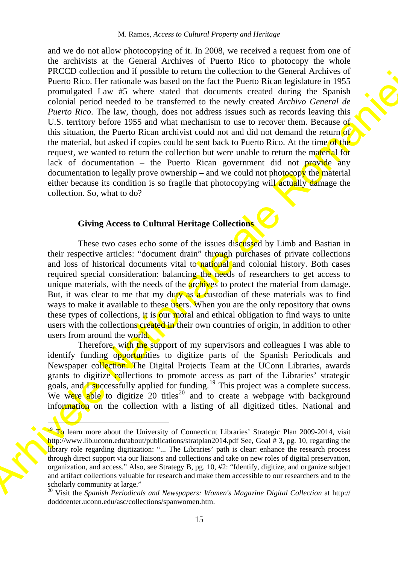PACCI Direction and in possible in each of the fact the strength and the strength and the control of the strength and the strength and the strength and the strength and the strength and the strength and the strength and t and we do not allow photocopying of it. In 2008, we received a request from one of the archivists at the General Archives of Puerto Rico to photocopy the whole PRCCD collection and if possible to return the collection to the General Archives of Puerto Rico. Her rationale was based on the fact the Puerto Rican legislature in 1955 promulgated Law #5 where stated that documents created during the Spanish colonial period needed to be transferred to the newly created *Archivo General de Puerto Rico*. The law, though, does not address issues such as records leaving this U.S. territory before 1955 and what mechanism to use to recover them. Because of this situation, the Puerto Rican archivist could not and did not demand the return of the material, but asked if copies could be sent back to Puerto Rico. At the time of the request, we wanted to return the collection but were unable to return the material for lack of documentation – the Puerto Rican government did not **provide** any documentation to legally prove ownership – and we could not photocopy the material either because its condition is so fragile that photocopying will actually damage the collection. So, what to do?

## **Giving Access to Cultural Heritage Collections**

 $\overline{\phantom{a}}$ 

These two cases echo some of the issues discussed by Limb and Bastian in their respective articles: "document drain" through purchases of private collections and loss of historical documents vital to national and colonial history. Both cases required special consideration: balancing the needs of researchers to get access to unique materials, with the needs of the **archives** to protect the material from damage. But, it was clear to me that my duty as a custodian of these materials was to find ways to make it available to these users. When you are the only repository that owns these types of collections, it is our moral and ethical obligation to find ways to unite users with the collections created in their own countries of origin, in addition to other users from around the world.

Therefore, with the support of my supervisors and colleagues I was able to identify funding opportunities to digitize parts of the Spanish Periodicals and Newspaper collection. The Digital Projects Team at the UConn Libraries, awards grants to digitize collections to promote access as part of the Libraries' strategic goals, and  $\overline{I}$  successfully applied for funding.<sup>19</sup> This project was a complete success. We were able to digitize 20 titles<sup>20</sup> and to create a webpage with background information on the collection with a listing of all digitized titles. National and

<span id="page-7-0"></span><sup>&</sup>lt;sup>19</sup> To learn more about the University of Connecticut Libraries' Strategic Plan 2009-2014, visit http://www.lib.uconn.edu/about/publications/stratplan2014.pdf See, Goal # 3, pg. 10, regarding the library role regarding digitization: "... The Libraries' path is clear: enhance the research process through direct support via our liaisons and collections and take on new roles of digital preservation, organization, and access." Also, see Strategy B, pg. 10, #2: "Identify, digitize, and organize subject and artifact collections valuable for research and make them accessible to our researchers and to the scholarly community at large."

<span id="page-7-1"></span><sup>20</sup> Visit the *Spanish Periodicals and Newspapers: Women's Magazine Digital Collection* at http:// doddcenter.uconn.edu/asc/collections/spanwomen.htm.